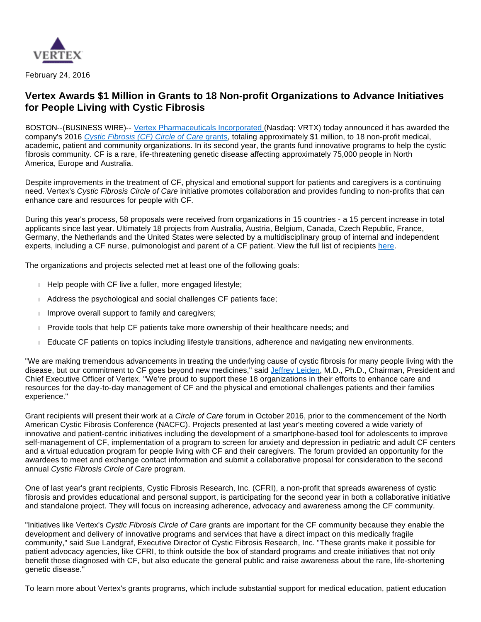

February 24, 2016

## **Vertex Awards \$1 Million in Grants to 18 Non-profit Organizations to Advance Initiatives for People Living with Cystic Fibrosis**

BOSTON--(BUSINESS WIRE)-- [Vertex Pharmaceuticals Incorporated](http://cts.businesswire.com/ct/CT?id=smartlink&url=http%3A%2F%2Fwww.vrtx.com%2F&esheet=51286140&newsitemid=20160224005198&lan=en-US&anchor=Vertex+Pharmaceuticals+Incorporated%C2%A0&index=1&md5=14c3f348b3f7ef896e3d7a574c9b7beb) (Nasdaq: VRTX) today announced it has awarded the company's 2016 [Cystic Fibrosis \(CF\) Circle of Care](http://cts.businesswire.com/ct/CT?id=smartlink&url=https%3A%2F%2Fwww.vrtx.com%2Fsites%2Fdefault%2Ffiles%2Fassets%2Fpdfs%2FCF-RFP9-30.pdf&esheet=51286140&newsitemid=20160224005198&lan=en-US&anchor=Cystic+Fibrosis+%28CF%29+Circle+of+Care+grants&index=2&md5=c0984d195bb93d4428f2664c6c3953d3) grants, totaling approximately \$1 million, to 18 non-profit medical, academic, patient and community organizations. In its second year, the grants fund innovative programs to help the cystic fibrosis community. CF is a rare, life-threatening genetic disease affecting approximately 75,000 people in North America, Europe and Australia.

Despite improvements in the treatment of CF, physical and emotional support for patients and caregivers is a continuing need. Vertex's Cystic Fibrosis Circle of Care initiative promotes collaboration and provides funding to non-profits that can enhance care and resources for people with CF.

During this year's process, 58 proposals were received from organizations in 15 countries - a 15 percent increase in total applicants since last year. Ultimately 18 projects from Australia, Austria, Belgium, Canada, Czech Republic, France, Germany, the Netherlands and the United States were selected by a multidisciplinary group of internal and independent experts, including a CF nurse, pulmonologist and parent of a CF patient. View the full list of recipients [here.](http://cts.businesswire.com/ct/CT?id=smartlink&url=http%3A%2F%2Fwww.vrtx.com%2Fsites%2Fdefault%2Ffiles%2Fassets%2Fpdfs%2FCF-RFP9-30.pdf&esheet=51286140&newsitemid=20160224005198&lan=en-US&anchor=here&index=3&md5=c6a83d5fa99e670b96ca5101e48d9907)

The organizations and projects selected met at least one of the following goals:

- $\Box$  Help people with CF live a fuller, more engaged lifestyle;
- Address the psychological and social challenges CF patients face;
- $\blacksquare$  Improve overall support to family and caregivers;
- **Provide tools that help CF patients take more ownership of their healthcare needs; and**
- Educate CF patients on topics including lifestyle transitions, adherence and navigating new environments.

"We are making tremendous advancements in treating the underlying cause of cystic fibrosis for many people living with the disease, but our commitment to CF goes beyond new medicines," said [Jeffrey Leiden](http://cts.businesswire.com/ct/CT?id=smartlink&url=http%3A%2F%2Fwww.vrtx.com%2Four-team%2Fsenior-management&esheet=51286140&newsitemid=20160224005198&lan=en-US&anchor=Jeffrey+Leiden&index=4&md5=305593b0c22161fab6187c47faaa78b0), M.D., Ph.D., Chairman, President and Chief Executive Officer of Vertex. "We're proud to support these 18 organizations in their efforts to enhance care and resources for the day-to-day management of CF and the physical and emotional challenges patients and their families experience."

Grant recipients will present their work at a Circle of Care forum in October 2016, prior to the commencement of the North American Cystic Fibrosis Conference (NACFC). Projects presented at last year's meeting covered a wide variety of innovative and patient-centric initiatives including the development of a smartphone-based tool for adolescents to improve self-management of CF, implementation of a program to screen for anxiety and depression in pediatric and adult CF centers and a virtual education program for people living with CF and their caregivers. The forum provided an opportunity for the awardees to meet and exchange contact information and submit a collaborative proposal for consideration to the second annual Cystic Fibrosis Circle of Care program.

One of last year's grant recipients, Cystic Fibrosis Research, Inc. (CFRI), a non-profit that spreads awareness of cystic fibrosis and provides educational and personal support, is participating for the second year in both a collaborative initiative and standalone project. They will focus on increasing adherence, advocacy and awareness among the CF community.

"Initiatives like Vertex's Cystic Fibrosis Circle of Care grants are important for the CF community because they enable the development and delivery of innovative programs and services that have a direct impact on this medically fragile community," said Sue Landgraf, Executive Director of Cystic Fibrosis Research, Inc. "These grants make it possible for patient advocacy agencies, like CFRI, to think outside the box of standard programs and create initiatives that not only benefit those diagnosed with CF, but also educate the general public and raise awareness about the rare, life-shortening genetic disease."

To learn more about Vertex's grants programs, which include substantial support for medical education, patient education